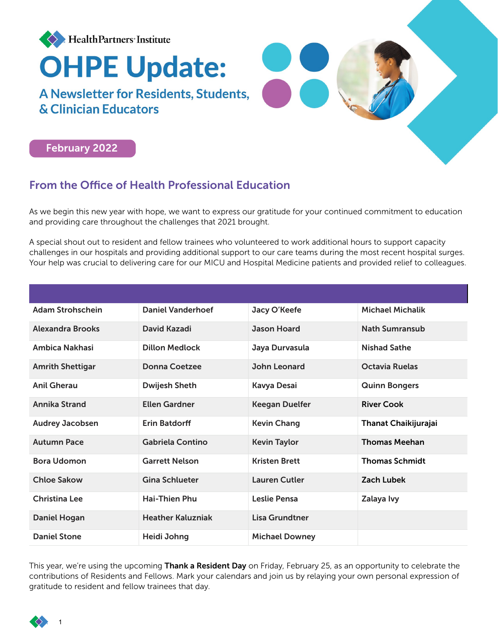



## From the Office of Health Professional Education

As we begin this new year with hope, we want to express our gratitude for your continued commitment to education and providing care throughout the challenges that 2021 brought.

A special shout out to resident and fellow trainees who volunteered to work additional hours to support capacity challenges in our hospitals and providing additional support to our care teams during the most recent hospital surges. Your help was crucial to delivering care for our MICU and Hospital Medicine patients and provided relief to colleagues.

| <b>Adam Strohschein</b> | <b>Daniel Vanderhoef</b> | Jacy O'Keefe          | <b>Michael Michalik</b> |
|-------------------------|--------------------------|-----------------------|-------------------------|
| <b>Alexandra Brooks</b> | David Kazadi             | <b>Jason Hoard</b>    | <b>Nath Sumransub</b>   |
| Ambica Nakhasi          | <b>Dillon Medlock</b>    | Jaya Durvasula        | <b>Nishad Sathe</b>     |
| <b>Amrith Shettigar</b> | Donna Coetzee            | John Leonard          | <b>Octavia Ruelas</b>   |
| <b>Anil Gherau</b>      | <b>Dwijesh Sheth</b>     | Kavya Desai           | <b>Quinn Bongers</b>    |
| <b>Annika Strand</b>    | <b>Ellen Gardner</b>     | <b>Keegan Duelfer</b> | <b>River Cook</b>       |
| <b>Audrey Jacobsen</b>  | <b>Erin Batdorff</b>     | <b>Kevin Chang</b>    | Thanat Chaikijurajai    |
| <b>Autumn Pace</b>      | Gabriela Contino         | <b>Kevin Taylor</b>   | <b>Thomas Meehan</b>    |
| <b>Bora Udomon</b>      | <b>Garrett Nelson</b>    | <b>Kristen Brett</b>  | <b>Thomas Schmidt</b>   |
| <b>Chloe Sakow</b>      | <b>Gina Schlueter</b>    | <b>Lauren Cutler</b>  | Zach Lubek              |
| <b>Christina Lee</b>    | <b>Hai-Thien Phu</b>     | Leslie Pensa          | Zalaya Ivy              |
| <b>Daniel Hogan</b>     | <b>Heather Kaluzniak</b> | Lisa Grundtner        |                         |
| <b>Daniel Stone</b>     | Heidi Johng              | <b>Michael Downey</b> |                         |

This year, we're using the upcoming Thank a Resident Day on Friday, February 25, as an opportunity to celebrate the contributions of Residents and Fellows. Mark your calendars and join us by relaying your own personal expression of gratitude to resident and fellow trainees that day.

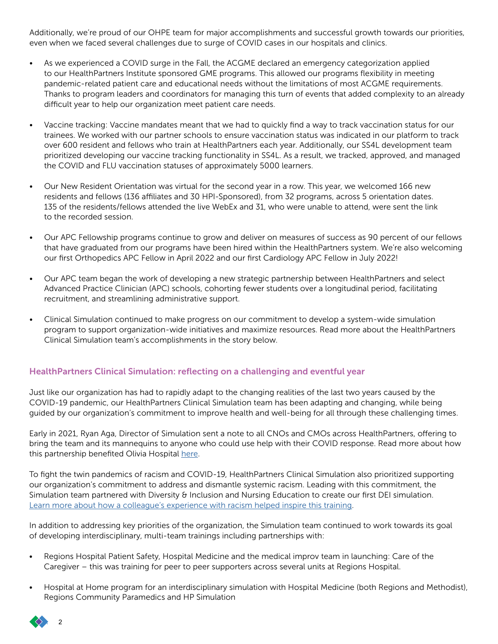Additionally, we're proud of our OHPE team for major accomplishments and successful growth towards our priorities, even when we faced several challenges due to surge of COVID cases in our hospitals and clinics.

- As we experienced a COVID surge in the Fall, the ACGME declared an emergency categorization applied to our HealthPartners Institute sponsored GME programs. This allowed our programs flexibility in meeting pandemic-related patient care and educational needs without the limitations of most ACGME requirements. Thanks to program leaders and coordinators for managing this turn of events that added complexity to an already difficult year to help our organization meet patient care needs.
- Vaccine tracking: Vaccine mandates meant that we had to quickly find a way to track vaccination status for our trainees. We worked with our partner schools to ensure vaccination status was indicated in our platform to track over 600 resident and fellows who train at HealthPartners each year. Additionally, our SS4L development team prioritized developing our vaccine tracking functionality in SS4L. As a result, we tracked, approved, and managed the COVID and FLU vaccination statuses of approximately 5000 learners.
- Our New Resident Orientation was virtual for the second year in a row. This year, we welcomed 166 new residents and fellows (136 affiliates and 30 HPI-Sponsored), from 32 programs, across 5 orientation dates. 135 of the residents/fellows attended the live WebEx and 31, who were unable to attend, were sent the link to the recorded session.
- Our APC Fellowship programs continue to grow and deliver on measures of success as 90 percent of our fellows that have graduated from our programs have been hired within the HealthPartners system. We're also welcoming our first Orthopedics APC Fellow in April 2022 and our first Cardiology APC Fellow in July 2022!
- Our APC team began the work of developing a new strategic partnership between HealthPartners and select Advanced Practice Clinician (APC) schools, cohorting fewer students over a longitudinal period, facilitating recruitment, and streamlining administrative support.
- Clinical Simulation continued to make progress on our commitment to develop a system-wide simulation program to support organization-wide initiatives and maximize resources. Read more about the HealthPartners Clinical Simulation team's accomplishments in the story below.

### HealthPartners Clinical Simulation: reflecting on a challenging and eventful year

Just like our organization has had to rapidly adapt to the changing realities of the last two years caused by the COVID-19 pandemic, our HealthPartners Clinical Simulation team has been adapting and changing, while being guided by our organization's commitment to improve health and well-being for all through these challenging times.

Early in 2021, Ryan Aga, Director of Simulation sent a note to all CNOs and CMOs across HealthPartners, offering to bring the team and its mannequins to anyone who could use help with their COVID response. Read more about how this partnership benefited Olivia Hospital [here.](https://mynews.healthpartners.com/research-education/clinical-simulation-team-heads-out-on-the-highway/)

To fight the twin pandemics of racism and COVID-19, HealthPartners Clinical Simulation also prioritized supporting our organization's commitment to address and dismantle systemic racism. Leading with this commitment, the Simulation team partnered with Diversity & Inclusion and Nursing Education to create our first DEI simulation. [Learn more about how a colleague's experience with racism helped inspire this training.](https://mynews.healthpartners.com/diversity-equity-inclusion/how-colleagues-experience-with-racism-is-making-change/)

In addition to addressing key priorities of the organization, the Simulation team continued to work towards its goal of developing interdisciplinary, multi-team trainings including partnerships with:

- Regions Hospital Patient Safety, Hospital Medicine and the medical improv team in launching: Care of the Caregiver – this was training for peer to peer supporters across several units at Regions Hospital.
- Hospital at Home program for an interdisciplinary simulation with Hospital Medicine (both Regions and Methodist), Regions Community Paramedics and HP Simulation

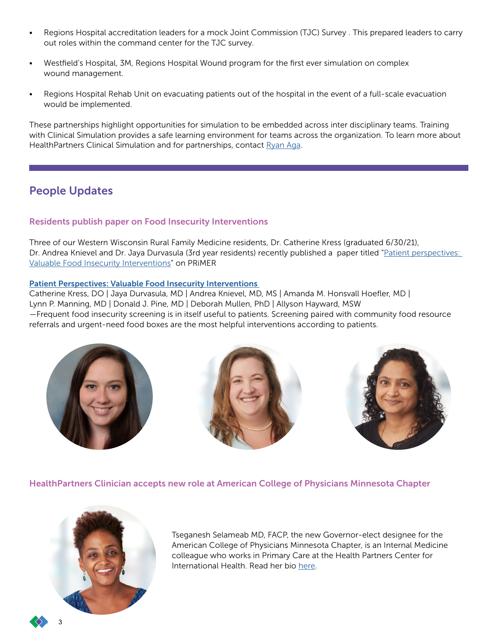- Regions Hospital accreditation leaders for a mock Joint Commission (TJC) Survey . This prepared leaders to carry out roles within the command center for the TJC survey.
- Westfield's Hospital, 3M, Regions Hospital Wound program for the first ever simulation on complex wound management.
- Regions Hospital Rehab Unit on evacuating patients out of the hospital in the event of a full-scale evacuation would be implemented.

These partnerships highlight opportunities for simulation to be embedded across inter disciplinary teams. Training with Clinical Simulation provides a safe learning environment for teams across the organization. To learn more about HealthPartners Clinical Simulation and for partnerships, contact [Ryan Aga.](mailto:Ryan.C.Aga%40HealthPartners.Com?subject=)

## People Updates

### Residents publish paper on Food Insecurity Interventions

Three of our Western Wisconsin Rural Family Medicine residents, Dr. Catherine Kress (graduated 6/30/21), Dr. Andrea Knievel and Dr. Jaya Durvasula (3rd year residents) recently published a paper titled ["Patient perspectives:](https://journals.stfm.org/primer/2021/kress-2021-0007/)  [Valuable Food Insecurity Interventions](https://journals.stfm.org/primer/2021/kress-2021-0007/)" on PRiMER

### [Patient Perspectives: Valuable Food Insecurity Interventions](https://journals.stfm.org/primer/2021/kress-2021-0007/)

Catherine Kress, DO | Jaya Durvasula, MD | Andrea Knievel, MD, MS | Amanda M. Honsvall Hoefler, MD | Lynn P. Manning, MD | Donald J. Pine, MD | Deborah Mullen, PhD | Allyson Hayward, MSW —Frequent food insecurity screening is in itself useful to patients. Screening paired with community food resource referrals and urgent-need food boxes are the most helpful interventions according to patients.







HealthPartners Clinician accepts new role at American College of Physicians Minnesota Chapter



Tseganesh Selameab MD, FACP, the new Governor-elect designee for the American College of Physicians Minnesota Chapter, is an Internal Medicine colleague who works in Primary Care at the Health Partners Center for International Health. Read her bio [here.](https://nam02.safelinks.protection.outlook.com/?url=https%3A%2F%2Fwww.acponline.org%2Fabout-acp%2Fchapters-regions%2Funited-states%2Fminnesota-chapter%2Fabout-the-chapter%2Fmeet-the-new-minnesota-governor-elect-designee&data=04%7C01%7CPratakshya.X.Bhandari%40HealthPartners.Com%7C737c678e87144a92b23908d9b37cea64%7C9539230a521345429ca6b0ec58c41a4d%7C0%7C0%7C637738171348703296%7CUnknown%7CTWFpbGZsb3d8eyJWIjoiMC4wLjAwMDAiLCJQIjoiV2luMzIiLCJBTiI6Ik1haWwiLCJXVCI6Mn0%3D%7C3000&sdata=PlZ37MXYKQxlgGcIbP0PaNKnfR5ZG%2Fh707kNyuAxOVY%3D&reserved=0)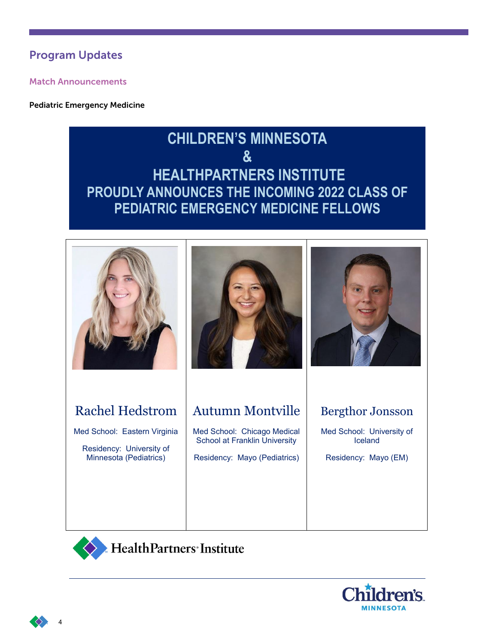## Program Updates

Match Announcements

Pediatric Emergency Medicine

# **CHILDREN'S MINNESOTA & HEALTHPARTNERS INSTITUTE PROUDLY ANNOUNCES THE INCOMING 2022 CLASS OF PEDIATRIC EMERGENCY MEDICINE FELLOWS**





Med School: Eastern Virginia

Residency: University of Minnesota (Pediatrics)





## Autumn Montville

Med School: Chicago Medical School at Franklin University

Residency: Mayo (Pediatrics)

## Bergthor Jonsson

Med School: University of Iceland

Residency: Mayo (EM)



Health Partners' Institute





4